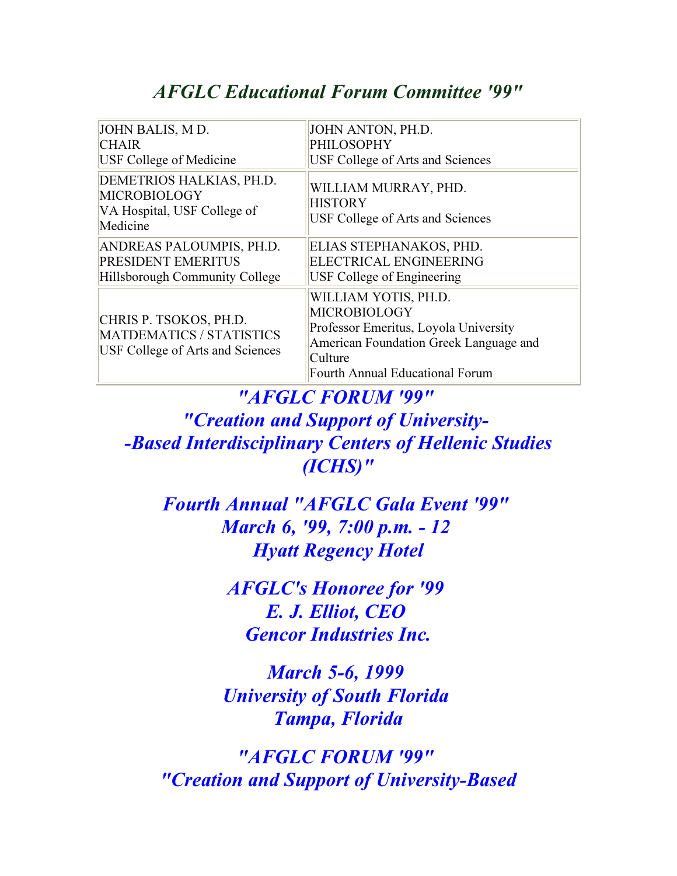# AFGLC Educational Forum Committee '99"

| JOHN BALIS, MD.                                                                               | JOHN ANTON, PH.D.                                                                                                                                                                   |
|-----------------------------------------------------------------------------------------------|-------------------------------------------------------------------------------------------------------------------------------------------------------------------------------------|
| <b>CHAIR</b>                                                                                  | <b>PHILOSOPHY</b>                                                                                                                                                                   |
| <b>USF College of Medicine</b>                                                                | USF College of Arts and Sciences                                                                                                                                                    |
| DEMETRIOS HALKIAS, PH.D.<br><b>MICROBIOLOGY</b><br>VA Hospital, USF College of<br>Medicine    | WILLIAM MURRAY, PHD.<br><b>HISTORY</b><br>USF College of Arts and Sciences                                                                                                          |
| ANDREAS PALOUMPIS, PH.D.                                                                      | ELIAS STEPHANAKOS, PHD.                                                                                                                                                             |
| <b>PRESIDENT EMERITUS</b>                                                                     | ELECTRICAL ENGINEERING                                                                                                                                                              |
| Hillsborough Community College                                                                | USF College of Engineering                                                                                                                                                          |
| CHRIS P. TSOKOS, PH.D.<br>MATDEMATICS / STATISTICS<br><b>USF College of Arts and Sciences</b> | WILLIAM YOTIS, PH.D.<br><b>MICROBIOLOGY</b><br>Professor Emeritus, Loyola University<br>American Foundation Greek Language and<br>Culture<br><b>Fourth Annual Educational Forum</b> |

"AFGLC FORUM '99" "Creation and Support of University- -Based Interdisciplinary Centers of Hellenic Studies (ICHS)"

Fourth Annual "AFGLC Gala Event '99" March 6, '99, 7:00 p.m. - 12 Hyatt Regency Hotel

> AFGLC's Honoree for '99 E. J. Elliot, CEO Gencor Industries Inc.

March 5-6, 1999 University of South Florida Tampa, Florida

"AFGLC FORUM '99" "Creation and Support of University-Based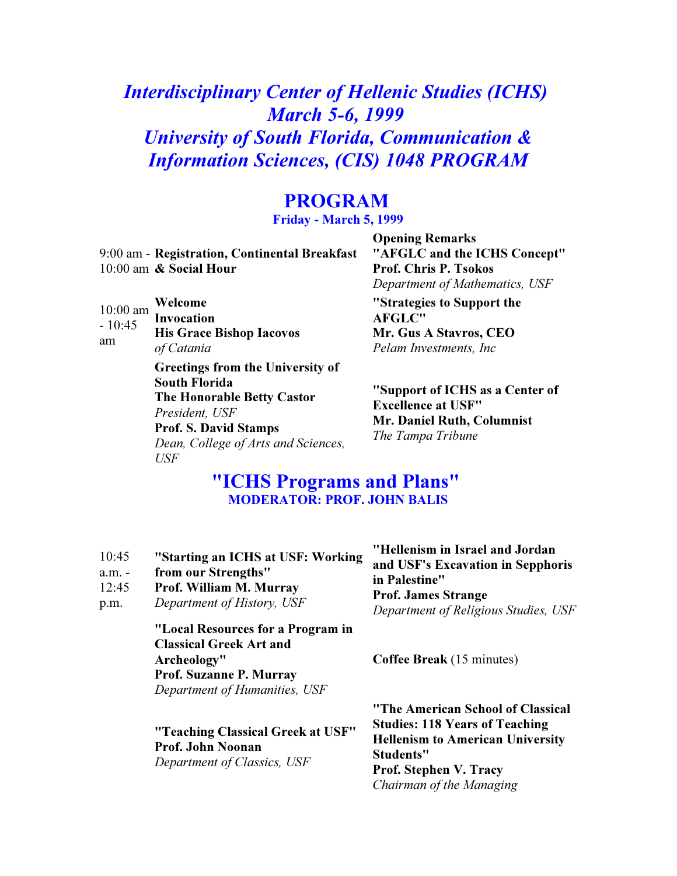Interdisciplinary Center of Hellenic Studies (ICHS) March 5-6, 1999 University of South Florida, Communication & Information Sciences, (CIS) 1048 PROGRAM

## PROGRAM

Friday - March 5, 1999

9:00 am - Registration, Continental Breakfast 10:00 am & Social Hour

10:00 am  $-10:45$ am Welcome Invocation His Grace Bishop Iacovos of Catania Greetings from the University of South Florida The Honorable Betty Castor President, USF Prof. S. David Stamps

> Dean, College of Arts and Sciences, USF

Opening Remarks "AFGLC and the ICHS Concept" Prof. Chris P. Tsokos Department of Mathematics, USF "Strategies to Support the AFGLC" Mr. Gus A Stavros, CEO Pelam Investments, Inc

"Support of ICHS as a Center of Excellence at USF" Mr. Daniel Ruth, Columnist The Tampa Tribune

## "ICHS Programs and Plans" MODERATOR: PROF. JOHN BALIS

| 10:45<br>$a.m. -$<br>12:45<br>p.m. | "Starting an ICHS at USF: Working<br>from our Strengths"<br>Prof. William M. Murray<br>Department of History, USF                                     | "Hellenism in Israel and Jordan<br>and USF's Excavation in Sepphoris<br>in Palestine"<br><b>Prof. James Strange</b><br>Department of Religious Studies, USF                                            |
|------------------------------------|-------------------------------------------------------------------------------------------------------------------------------------------------------|--------------------------------------------------------------------------------------------------------------------------------------------------------------------------------------------------------|
|                                    | "Local Resources for a Program in<br><b>Classical Greek Art and</b><br>Archeology"<br><b>Prof. Suzanne P. Murray</b><br>Department of Humanities, USF | <b>Coffee Break</b> (15 minutes)                                                                                                                                                                       |
|                                    | "Teaching Classical Greek at USF"<br>Prof. John Noonan<br>Department of Classics, USF                                                                 | "The American School of Classical<br><b>Studies: 118 Years of Teaching</b><br><b>Hellenism to American University</b><br><b>Students"</b><br><b>Prof. Stephen V. Tracy</b><br>Chairman of the Managing |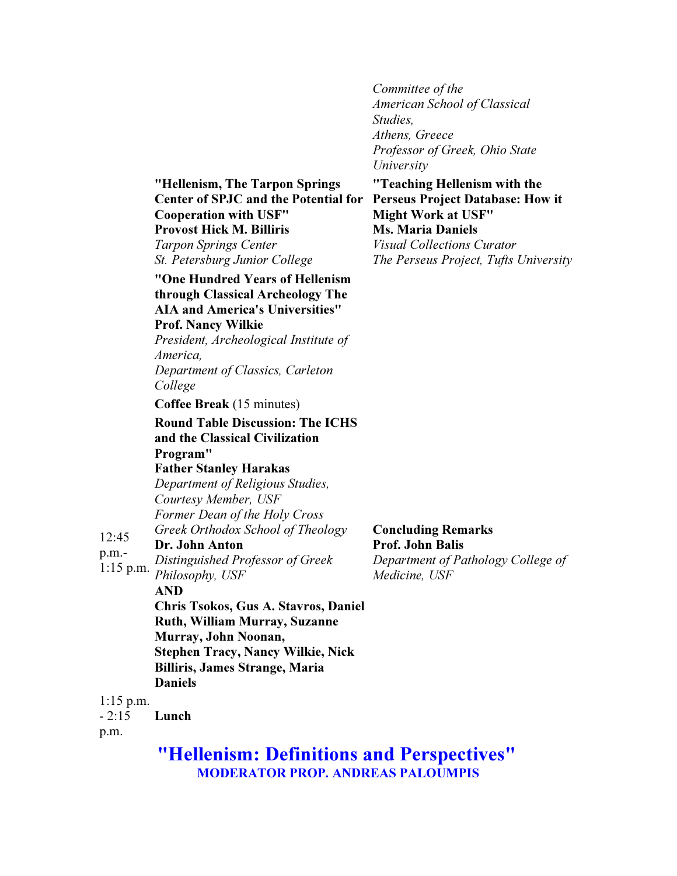Committee of the American School of Classical Studies, Athens, Greece Professor of Greek, Ohio State University

"Teaching Hellenism with the

"Hellenism, The Tarpon Springs Center of SPJC and the Potential for Perseus Project Database: How it Cooperation with USF" Provost Hick M. Billiris Tarpon Springs Center

St. Petersburg Junior College

#### "One Hundred Years of Hellenism through Classical Archeology The AIA and America's Universities" Prof. Nancy Wilkie

President, Archeological Institute of America, Department of Classics, Carleton

College

Coffee Break (15 minutes)

Round Table Discussion: The ICHS and the Classical Civilization Program" Father Stanley Harakas

Department of Religious Studies, Courtesy Member, USF Former Dean of the Holy Cross Greek Orthodox School of Theology

12:45 Dr. John Anton

p.m.- 1:15 p.m. Distinguished Professor of Greek Philosophy, USF

AND

Chris Tsokos, Gus A. Stavros, Daniel Ruth, William Murray, Suzanne Murray, John Noonan, Stephen Tracy, Nancy Wilkie, Nick Billiris, James Strange, Maria Daniels

1:15 p.m.

 $-2:15$ Lunch

p.m.

"Hellenism: Definitions and Perspectives" MODERATOR PROP. ANDREAS PALOUMPIS

### Concluding Remarks Prof. John Balis Department of Pathology College of

Medicine, USF

Might Work at USF" Ms. Maria Daniels

Visual Collections Curator The Perseus Project, Tufts University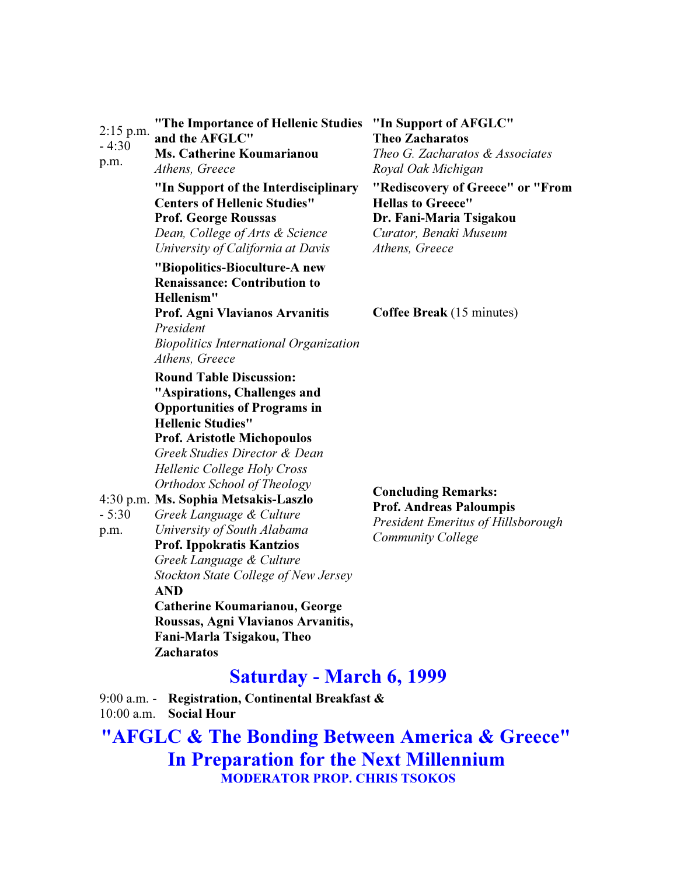| $2:15$ p.m.<br>$-4:30$<br>p.m. | "The Importance of Hellenic Studies<br>and the AFGLC"<br><b>Ms. Catherine Koumarianou</b><br>Athens, Greece                                                                                                                                                                                                                      | "In Support of AFGLC"<br><b>Theo Zacharatos</b><br>Theo G. Zacharatos & Associates<br>Royal Oak Michigan                              |
|--------------------------------|----------------------------------------------------------------------------------------------------------------------------------------------------------------------------------------------------------------------------------------------------------------------------------------------------------------------------------|---------------------------------------------------------------------------------------------------------------------------------------|
|                                | "In Support of the Interdisciplinary<br><b>Centers of Hellenic Studies"</b><br><b>Prof. George Roussas</b><br>Dean, College of Arts & Science<br>University of California at Davis<br>"Biopolitics-Bioculture-A new<br><b>Renaissance: Contribution to</b><br>Hellenism"                                                         | "Rediscovery of Greece" or "From<br><b>Hellas to Greece"</b><br>Dr. Fani-Maria Tsigakou<br>Curator, Benaki Museum<br>Athens, Greece   |
|                                | Prof. Agni Vlavianos Arvanitis<br>President<br><b>Biopolitics International Organization</b><br>Athens, Greece<br><b>Round Table Discussion:</b><br>"Aspirations, Challenges and<br><b>Opportunities of Programs in</b>                                                                                                          | <b>Coffee Break</b> (15 minutes)                                                                                                      |
| $-5:30$<br>p.m.                | <b>Hellenic Studies"</b><br><b>Prof. Aristotle Michopoulos</b><br>Greek Studies Director & Dean<br>Hellenic College Holy Cross<br>Orthodox School of Theology<br>4:30 p.m. Ms. Sophia Metsakis-Laszlo<br>Greek Language & Culture<br>University of South Alabama<br><b>Prof. Ippokratis Kantzios</b><br>Greek Language & Culture | <b>Concluding Remarks:</b><br><b>Prof. Andreas Paloumpis</b><br><b>President Emeritus of Hillsborough</b><br><b>Community College</b> |
|                                | Stockton State College of New Jersey<br><b>AND</b><br>Catherine Koumarianou, George<br>Roussas, Agni Vlavianos Arvanitis,<br>Fani-Marla Tsigakou, Theo<br><b>Zacharatos</b>                                                                                                                                                      |                                                                                                                                       |
|                                | <b>Saturday - March 6, 1999</b>                                                                                                                                                                                                                                                                                                  |                                                                                                                                       |
|                                | 9:00 a.m. - Registration, Continental Breakfast &                                                                                                                                                                                                                                                                                |                                                                                                                                       |

10:00 a.m. Social Hour

"AFGLC & The Bonding Between America & Greece" In Preparation for the Next Millennium MODERATOR PROP. CHRIS TSOKOS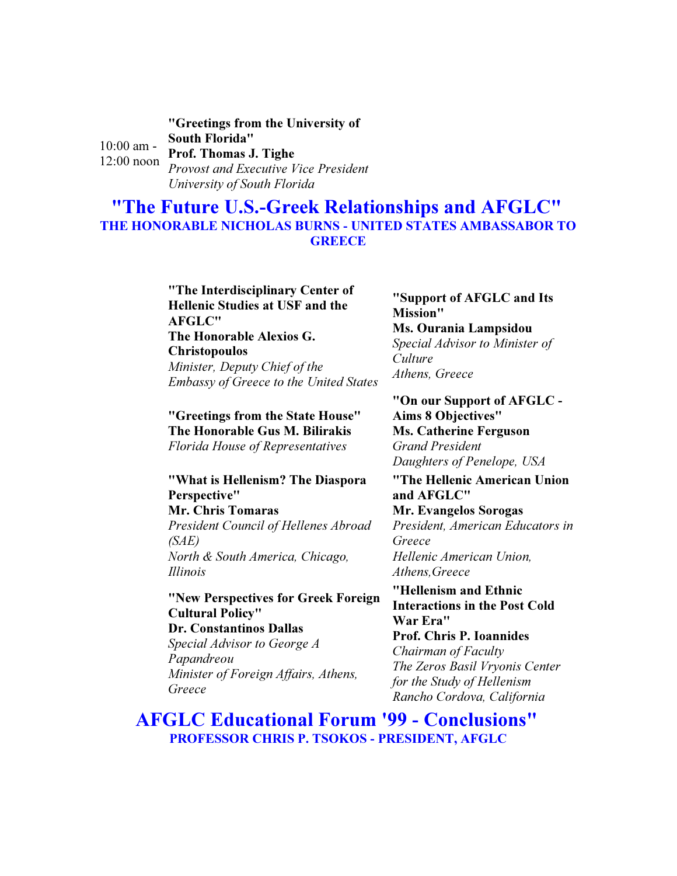10:00 am - 12:00 noon "Greetings from the University of South Florida" Prof. Thomas J. Tighe Provost and Executive Vice President University of South Florida

"The Future U.S.-Greek Relationships and AFGLC" THE HONORABLE NICHOLAS BURNS - UNITED STATES AMBASSABOR TO **GREECE** 

### "The Interdisciplinary Center of Hellenic Studies at USF and the AFGLC"

The Honorable Alexios G. Christopoulos Minister, Deputy Chief of the Embassy of Greece to the United States

"Greetings from the State House" The Honorable Gus M. Bilirakis Florida House of Representatives

#### "What is Hellenism? The Diaspora Perspective" Mr. Chris Tomaras

President Council of Hellenes Abroad (SAE) North & South America, Chicago, Illinois

### "New Perspectives for Greek Foreign Cultural Policy"

Dr. Constantinos Dallas Special Advisor to George A Papandreou Minister of Foreign Affairs, Athens, Greece

"Support of AFGLC and Its Mission" Ms. Ourania Lampsidou Special Advisor to Minister of **Culture** Athens, Greece

"On our Support of AFGLC - Aims 8 Objectives" Ms. Catherine Ferguson Grand President Daughters of Penelope, USA

#### "The Hellenic American Union and AFGLC" Mr. Evangelos Sorogas President, American Educators in Greece Hellenic American Union, Athens,Greece

"Hellenism and Ethnic Interactions in the Post Cold War Era" Prof. Chris P. Ioannides Chairman of Faculty The Zeros Basil Vryonis Center for the Study of Hellenism Rancho Cordova, California

AFGLC Educational Forum '99 - Conclusions" PROFESSOR CHRIS P. TSOKOS - PRESIDENT, AFGLC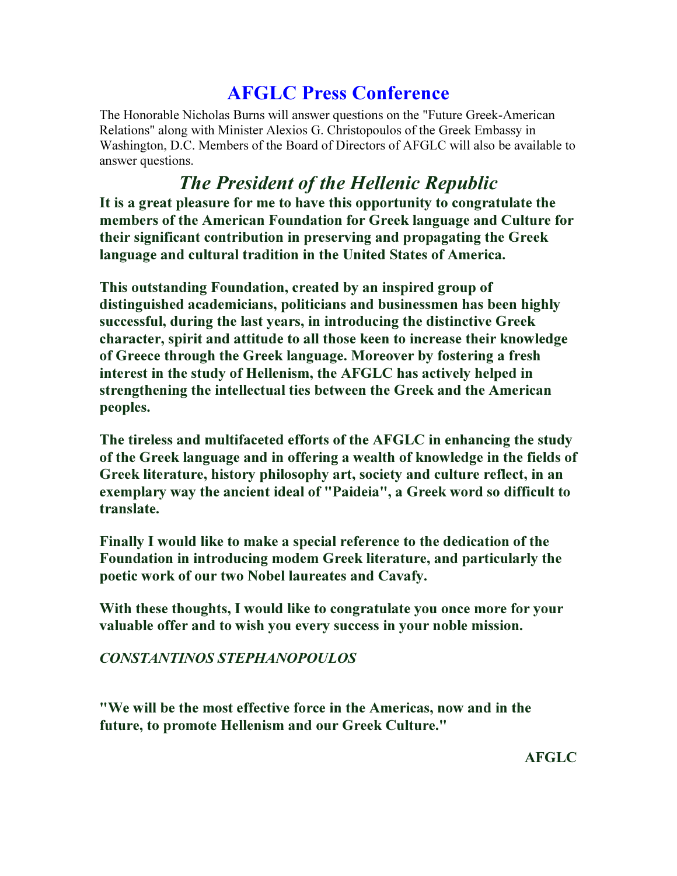# AFGLC Press Conference

The Honorable Nicholas Burns will answer questions on the "Future Greek-American Relations" along with Minister Alexios G. Christopoulos of the Greek Embassy in Washington, D.C. Members of the Board of Directors of AFGLC will also be available to answer questions.

# The President of the Hellenic Republic

It is a great pleasure for me to have this opportunity to congratulate the members of the American Foundation for Greek language and Culture for their significant contribution in preserving and propagating the Greek language and cultural tradition in the United States of America.

This outstanding Foundation, created by an inspired group of distinguished academicians, politicians and businessmen has been highly successful, during the last years, in introducing the distinctive Greek character, spirit and attitude to all those keen to increase their knowledge of Greece through the Greek language. Moreover by fostering a fresh interest in the study of Hellenism, the AFGLC has actively helped in strengthening the intellectual ties between the Greek and the American peoples.

The tireless and multifaceted efforts of the AFGLC in enhancing the study of the Greek language and in offering a wealth of knowledge in the fields of Greek literature, history philosophy art, society and culture reflect, in an exemplary way the ancient ideal of "Paideia", a Greek word so difficult to translate.

Finally I would like to make a special reference to the dedication of the Foundation in introducing modem Greek literature, and particularly the poetic work of our two Nobel laureates and Cavafy.

With these thoughts, I would like to congratulate you once more for your valuable offer and to wish you every success in your noble mission.

## CONSTANTINOS STEPHANOPOULOS

"We will be the most effective force in the Americas, now and in the future, to promote Hellenism and our Greek Culture."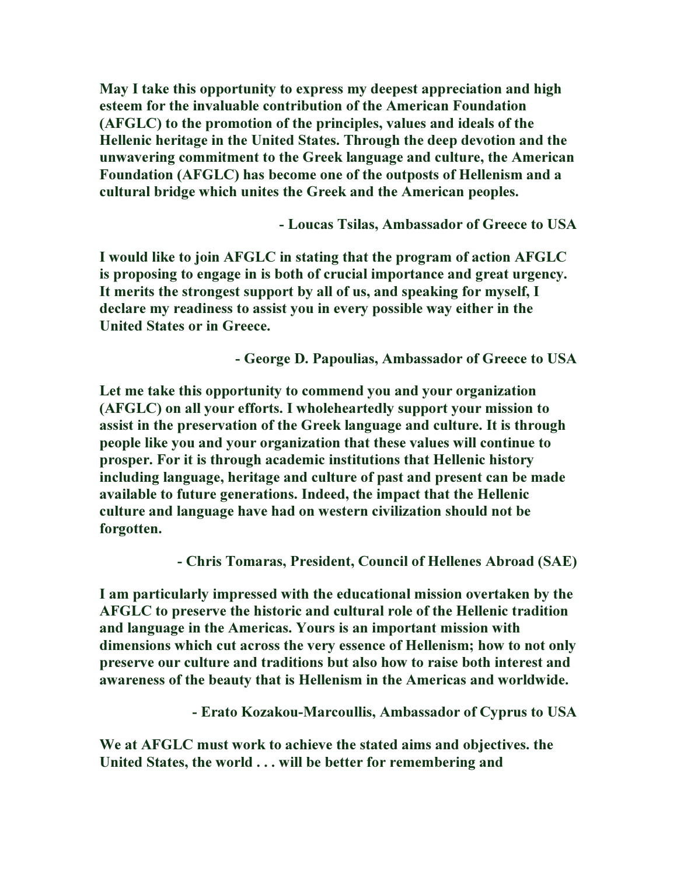May I take this opportunity to express my deepest appreciation and high esteem for the invaluable contribution of the American Foundation (AFGLC) to the promotion of the principles, values and ideals of the Hellenic heritage in the United States. Through the deep devotion and the unwavering commitment to the Greek language and culture, the American Foundation (AFGLC) has become one of the outposts of Hellenism and a cultural bridge which unites the Greek and the American peoples.

- Loucas Tsilas, Ambassador of Greece to USA

I would like to join AFGLC in stating that the program of action AFGLC is proposing to engage in is both of crucial importance and great urgency. It merits the strongest support by all of us, and speaking for myself, I declare my readiness to assist you in every possible way either in the United States or in Greece.

- George D. Papoulias, Ambassador of Greece to USA

Let me take this opportunity to commend you and your organization (AFGLC) on all your efforts. I wholeheartedly support your mission to assist in the preservation of the Greek language and culture. It is through people like you and your organization that these values will continue to prosper. For it is through academic institutions that Hellenic history including language, heritage and culture of past and present can be made available to future generations. Indeed, the impact that the Hellenic culture and language have had on western civilization should not be forgotten.

- Chris Tomaras, President, Council of Hellenes Abroad (SAE)

I am particularly impressed with the educational mission overtaken by the AFGLC to preserve the historic and cultural role of the Hellenic tradition and language in the Americas. Yours is an important mission with dimensions which cut across the very essence of Hellenism; how to not only preserve our culture and traditions but also how to raise both interest and awareness of the beauty that is Hellenism in the Americas and worldwide.

- Erato Kozakou-Marcoullis, Ambassador of Cyprus to USA

We at AFGLC must work to achieve the stated aims and objectives. the United States, the world . . . will be better for remembering and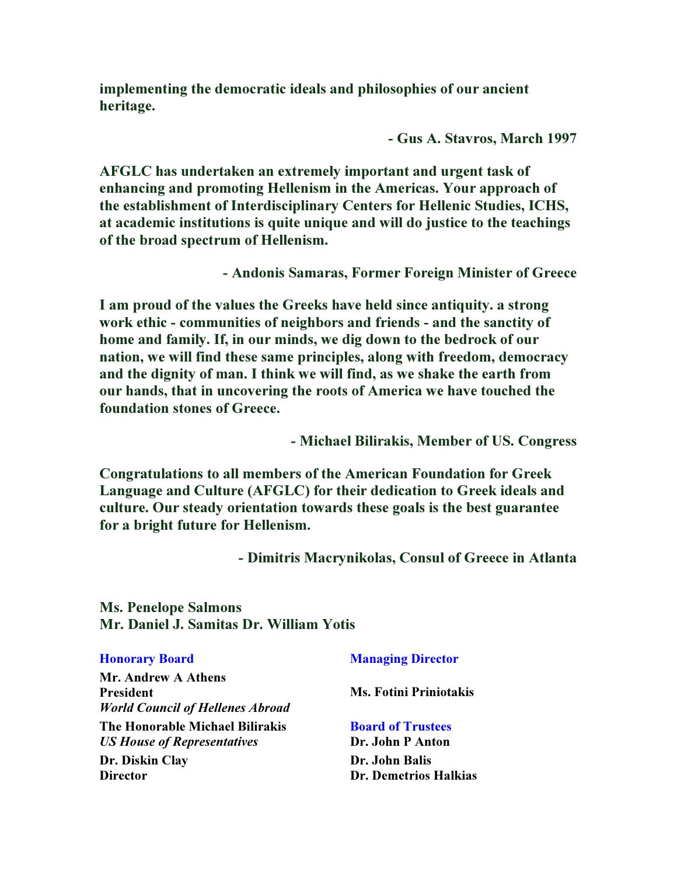implementing the democratic ideals and philosophies of our ancient heritage.

- Gus A. Stavros, March 1997

AFGLC has undertaken an extremely important and urgent task of enhancing and promoting Hellenism in the Americas. Your approach of the establishment of Interdisciplinary Centers for Hellenic Studies, ICHS, at academic institutions is quite unique and will do justice to the teachings of the broad spectrum of Hellenism.

- Andonis Samaras, Former Foreign Minister of Greece

I am proud of the values the Greeks have held since antiquity. a strong work ethic - communities of neighbors and friends - and the sanctity of home and family. If, in our minds, we dig down to the bedrock of our nation, we will find these same principles, along with freedom, democracy and the dignity of man. I think we will find, as we shake the earth from our hands, that in uncovering the roots of America we have touched the foundation stones of Greece.

- Michael Bilirakis, Member of US. Congress

Congratulations to all members of the American Foundation for Greek Language and Culture (AFGLC) for their dedication to Greek ideals and culture. Our steady orientation towards these goals is the best guarantee for a bright future for Hellenism.

- Dimitris Macrynikolas, Consul of Greece in Atlanta

Ms. Penelope Salmons Mr. Daniel J. Samitas Dr. William Yotis

| <b>Honorary Board</b>                                                 | <b>Managing Director</b>                     |
|-----------------------------------------------------------------------|----------------------------------------------|
| Mr. Andrew A Athens                                                   |                                              |
| <b>President</b><br><b>World Council of Hellenes Abroad</b>           | <b>Ms. Fotini Priniotakis</b>                |
| The Honorable Michael Bilirakis<br><b>US House of Representatives</b> | <b>Board of Trustees</b><br>Dr. John P Anton |
| Dr. Diskin Clay<br><b>Director</b>                                    | Dr. John Balis<br>Dr. Demetrios Halkias      |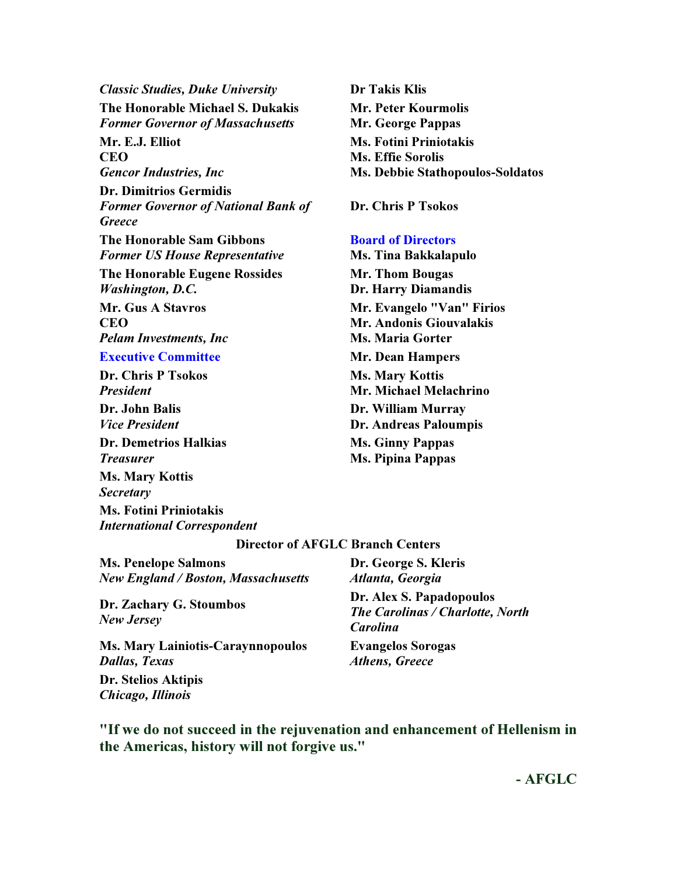Classic Studies, Duke University Dr Takis Klis The Honorable Michael S. Dukakis Former Governor of Massachusetts Mr. E.J. Elliot **CEO** Gencor Industries, Inc Dr. Dimitrios Germidis Former Governor of National Bank of **Greece** The Honorable Sam Gibbons Former US House Representative The Honorable Eugene Rossides Washington, D.C. Mr. Gus A Stavros **CEO** Pelam Investments, Inc **Executive Committee Mr. Dean Hampers** Dr. Chris P Tsokos President Dr. John Balis

Vice President

Dr. Demetrios Halkias Treasurer Ms. Mary Kottis

**Secretary** 

Ms. Fotini Priniotakis International Correspondent Mr. Peter Kourmolis Mr. George Pappas Ms. Fotini Priniotakis Ms. Effie Sorolis Ms. Debbie Stathopoulos-Soldatos

Dr. Chris P Tsokos

#### Board of Directors

Ms. Tina Bakkalapulo Mr. Thom Bougas Dr. Harry Diamandis Mr. Evangelo "Van" Firios Mr. Andonis Giouvalakis Ms. Maria Gorter Ms. Mary Kottis Mr. Michael Melachrino Dr. William Murray Dr. Andreas Paloumpis Ms. Ginny Pappas Ms. Pipina Pappas

#### Director of AFGLC Branch Centers

Ms. Penelope Salmons New England / Boston, Massachusetts

Dr. Zachary G. Stoumbos New Jersey

Ms. Mary Lainiotis-Caraynnopoulos Dallas, Texas

Dr. Stelios Aktipis Chicago, Illinois

Dr. George S. Kleris Atlanta, Georgia

Dr. Alex S. Papadopoulos The Carolinas / Charlotte, North Carolina Evangelos Sorogas Athens, Greece

"If we do not succeed in the rejuvenation and enhancement of Hellenism in the Americas, history will not forgive us."

- AFGLC